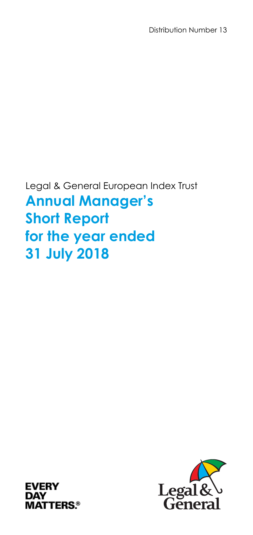Distribution Number 13

Legal & General European Index Trust **Annual Manager's Short Report for the year ended 31 July 2018** 



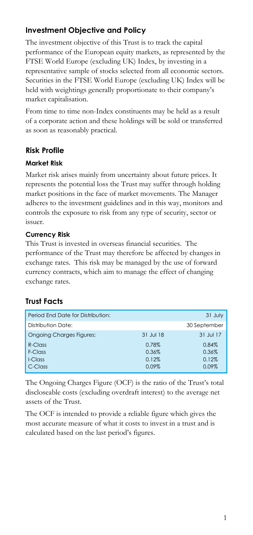# **Investment Objective and Policy**

The investment objective of this Trust is to track the capital performance of the European equity markets, as represented by the FTSE World Europe (excluding UK) Index, by investing in a representative sample of stocks selected from all economic sectors. Securities in the FTSE World Europe (excluding UK) Index will be held with weightings generally proportionate to their company's market capitalisation.

From time to time non-Index constituents may be held as a result of a corporate action and these holdings will be sold or transferred as soon as reasonably practical.

# **Risk Profile**

### **Market Risk**

Market risk arises mainly from uncertainty about future prices. It represents the potential loss the Trust may suffer through holding market positions in the face of market movements. The Manager adheres to the investment guidelines and in this way, monitors and controls the exposure to risk from any type of security, sector or issuer.

### **Currency Risk**

This Trust is invested in overseas financial securities. The performance of the Trust may therefore be affected by changes in exchange rates. This risk may be managed by the use of forward currency contracts, which aim to manage the effect of changing exchange rates.

# **Trust Facts**

| Period End Date for Distribution: |           | 31 July      |
|-----------------------------------|-----------|--------------|
| Distribution Date:                |           | 30 September |
| <b>Ongoing Charges Figures:</b>   | 31 Jul 18 | 31 Jul 17    |
| $R$ -Class                        | 0.78%     | 0.84%        |
| F-Class                           | 0.36%     | 0.36%        |
| I-Class                           | 0.12%     | 0.12%        |
| C-Class                           | 0.09%     | 0.09%        |

The Ongoing Charges Figure (OCF) is the ratio of the Trust's total discloseable costs (excluding overdraft interest) to the average net assets of the Trust.

The OCF is intended to provide a reliable figure which gives the most accurate measure of what it costs to invest in a trust and is calculated based on the last period's figures.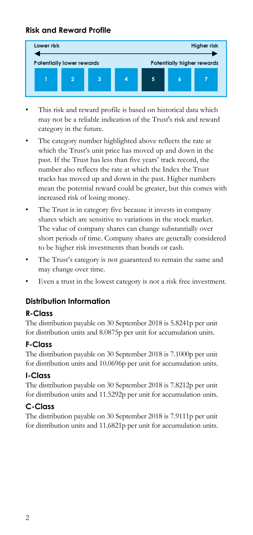# **Risk and Reward Profile**



- This risk and reward profile is based on historical data which may not be a reliable indication of the Trust's risk and reward category in the future.
- The category number highlighted above reflects the rate at which the Trust's unit price has moved up and down in the past. If the Trust has less than five years' track record, the number also reflects the rate at which the Index the Trust tracks has moved up and down in the past. Higher numbers mean the potential reward could be greater, but this comes with increased risk of losing money.
- The Trust is in category five because it invests in company shares which are sensitive to variations in the stock market. The value of company shares can change substantially over short periods of time. Company shares are generally considered to be higher risk investments than bonds or cash.
- The Trust's category is not guaranteed to remain the same and may change over time.
- Even a trust in the lowest category is not a risk free investment.

# **Distribution Information**

### **R-Class**

The distribution payable on 30 September 2018 is 5.8241p per unit for distribution units and 8.0875p per unit for accumulation units.

### **F-Class**

The distribution payable on 30 September 2018 is 7.1000p per unit for distribution units and 10.0696p per unit for accumulation units.

### **I-Class**

The distribution payable on 30 September 2018 is 7.8212p per unit for distribution units and 11.5292p per unit for accumulation units.

# **C-Class**

The distribution payable on 30 September 2018 is 7.9111p per unit for distribution units and 11.6821p per unit for accumulation units.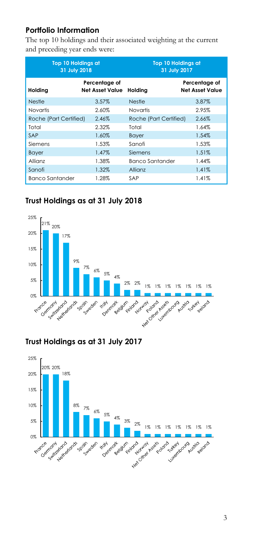# **Portfolio Information**

The top 10 holdings and their associated weighting at the current and preceding year ends were:

| <b>Top 10 Holdings at</b><br>31 July 2018 |                                  | <b>Top 10 Holdings at</b><br>31 July 2017 |                                         |
|-------------------------------------------|----------------------------------|-------------------------------------------|-----------------------------------------|
| Holding                                   | Percentage of<br>Net Asset Value | Holding                                   | Percentage of<br><b>Net Asset Value</b> |
| <b>Nestle</b>                             | 3.57%                            | <b>Nestle</b>                             | 3.87%                                   |
| <b>Novartis</b>                           | 2.60%                            | Novartis                                  | 2.95%                                   |
| Roche (Part Certified)                    | 2.46%                            | Roche (Part Certified)                    | 2.66%                                   |
| Total                                     | 2.32%                            | Total                                     | 1.64%                                   |
| SAP                                       | 1.60%                            | <b>Bayer</b>                              | 1.54%                                   |
| Siemens                                   | 1.53%                            | Sanofi                                    | 1.53%                                   |
| <b>Bayer</b>                              | 1.47%                            | Siemens                                   | 1.51%                                   |
| Allianz                                   | 1.38%                            | <b>Banco Santander</b>                    | 1.44%                                   |
| Sanofi                                    | 1.32%                            | Allianz                                   | 1.41%                                   |
| <b>Banco Santander</b>                    | 1.28%                            | SAP                                       | 1.41%                                   |

# **Trust Holdings as at 31 July 2018**



# **Trust Holdings as at 31 July 2017**

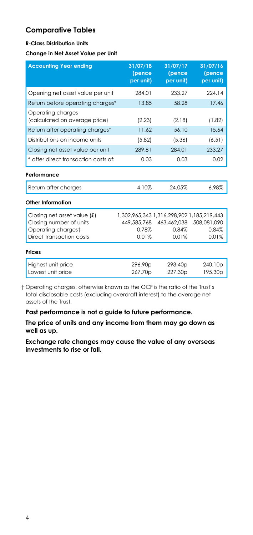### **Comparative Tables**

#### **R-Class Distribution Units**

#### **Change in Net Asset Value per Unit**

| <b>Accounting Year ending</b>                          | 31/07/18<br>(pence<br>per unit)                          | 31/07/17<br>(pence<br>per unit) | 31/07/16<br>(pence<br>per unit) |
|--------------------------------------------------------|----------------------------------------------------------|---------------------------------|---------------------------------|
| Opening net asset value per unit                       | 284.01                                                   | 233.27                          | 224.14                          |
| Return before operating charges*                       | 13.85                                                    | 58.28                           | 17.46                           |
| Operating charges<br>(calculated on average price)     | (2.23)                                                   | (2.18)                          | (1.82)                          |
| Return after operating charges*                        | 11.62                                                    | 56.10                           | 15.64                           |
| Distributions on income units                          | (5.82)                                                   | (5.36)                          | (6.51)                          |
| Closing net asset value per unit                       | 289.81                                                   | 284.01                          | 233.27                          |
| * after direct transaction costs of:                   | 0.03                                                     | 0.03                            | 0.02                            |
| Performance                                            |                                                          |                                 |                                 |
| Return after charges                                   | 4.10%                                                    | 24.05%                          | 6.98%                           |
| Other Information                                      |                                                          |                                 |                                 |
| Closing net asset value (£)<br>Closing number of units | 1,302,965,343 1,316,298,902 1,185,219,443<br>449,585,768 | 463,462,038                     | 508,081,090                     |
| Operating chargest                                     | 0.78%                                                    | 0.84%                           | 0.84%                           |
| Direct transaction costs                               | 0.01%                                                    | 0.01%                           | 0.01%                           |
| <b>Prices</b>                                          |                                                          |                                 |                                 |
| Highest unit price                                     | 296.90 <sub>p</sub>                                      | 293.40 <sub>p</sub>             | 240.10p                         |
| Lowest unit price                                      | 267.70p                                                  | 227.30p                         | 195.30p                         |

 † Operating charges, otherwise known as the OCF is the ratio of the Trust's total disclosable costs (excluding overdraft interest) to the average net assets of the Trust.

**Past performance is not a guide to future performance.** 

**The price of units and any income from them may go down as well as up.**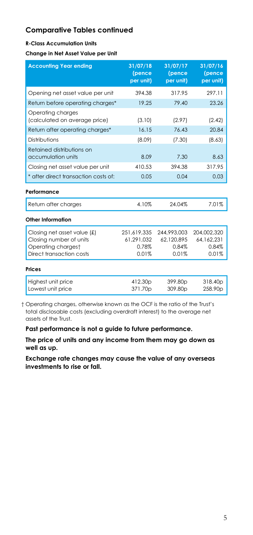#### **R-Class Accumulation Units**

**Change in Net Asset Value per Unit** 

| <b>Accounting Year ending</b>                      | 31/07/18<br>(pence<br>per unit) | 31/07/17<br>(pence<br>per unit) | 31/07/16<br>(pence<br>per unit) |
|----------------------------------------------------|---------------------------------|---------------------------------|---------------------------------|
| Opening net asset value per unit                   | 394.38                          | 317.95                          | 297.11                          |
| Return before operating charges*                   | 19.25                           | 79.40                           | 23.26                           |
| Operating charges<br>(calculated on average price) | (3.10)                          | (2.97)                          | (2.42)                          |
| Return after operating charges*                    | 16.15                           | 76.43                           | 20.84                           |
| Distributions                                      | (8.09)                          | (7.30)                          | (8.63)                          |
| Retained distributions on<br>accumulation units    | 8.09                            | 7.30                            | 8.63                            |
| Closing net asset value per unit                   | 410.53                          | 394.38                          | 317.95                          |
| * after direct transaction costs of:               | 0.05                            | 0.04                            | 0.03                            |
| Performance                                        |                                 |                                 |                                 |
| Return after charges                               | 4.10%                           | 24.04%                          | 7.01%                           |
| Other Information                                  |                                 |                                 |                                 |
| Closing net asset value (£)                        | 251,619,335                     | 244,993,003                     | 204,002,320                     |
| Closing number of units                            | 61,291,032                      | 62,120,895                      | 64,162,231                      |
| Operating chargest                                 | 0.78%                           | 0.84%                           | 0.84%                           |
| Direct transaction costs                           | 0.01%                           | 0.01%                           | 0.01%                           |
| Prices                                             |                                 |                                 |                                 |
| Highest unit price                                 | 412.30p                         | 399.80p                         | 318.40p                         |
| Lowest unit price                                  | 371.70p                         | 309.80p                         | 258.90p                         |

 † Operating charges, otherwise known as the OCF is the ratio of the Trust's total disclosable costs (excluding overdraft interest) to the average net assets of the Trust.

**Past performance is not a guide to future performance.** 

**The price of units and any income from them may go down as well as up.**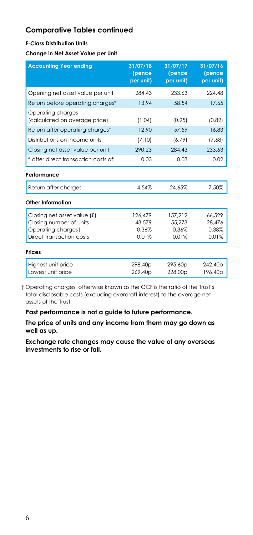#### **F-Class Distribution Units**

**Change in Net Asset Value per Unit** 

| <b>Accounting Year ending</b>                      | 31/07/18<br>(pence<br>per unit) | 31/07/17<br>(pence<br>per unit) | 31/07/16<br>(pence<br>per unit) |
|----------------------------------------------------|---------------------------------|---------------------------------|---------------------------------|
| Opening net asset value per unit                   | 284.43                          | 233.63                          | 224.48                          |
| Return before operating charges*                   | 13.94                           | 58.54                           | 17.65                           |
| Operating charges<br>(calculated on average price) | (1.04)                          | (0.95)                          | (0.82)                          |
| Return after operating charges*                    | 12.90                           | 57.59                           | 16.83                           |
| Distributions on income units                      | (7.10)                          | (6.79)                          | (7.68)                          |
| Closing net asset value per unit                   | 290.23                          | 284.43                          | 233.63                          |
| * after direct transaction costs of:               | 0.03                            | 0.03                            | 0.02                            |
| Performance                                        |                                 |                                 |                                 |
| Return after charges                               | 4.54%                           | 24.65%                          | 7.50%                           |
| Other Information                                  |                                 |                                 |                                 |
| Closing net asset value (£)                        | 126.479                         | 157.212                         | 66,529                          |
| Closing number of units<br>Operating chargest      | 43.579<br>0.36%                 | 55.273<br>0.36%                 | 28.476<br>0.38%                 |
| Direct transaction costs                           | 0.01%                           | 0.01%                           | 0.01%                           |
| <b>Prices</b>                                      |                                 |                                 |                                 |
| Highest unit price                                 | 298.40p                         | 295.60p                         | 242.40p                         |
| Lowest unit price                                  | 269.40p                         | 228.00p                         | 196.40p                         |

 † Operating charges, otherwise known as the OCF is the ratio of the Trust's total disclosable costs (excluding overdraft interest) to the average net assets of the Trust.

**Past performance is not a guide to future performance.** 

**The price of units and any income from them may go down as well as up.**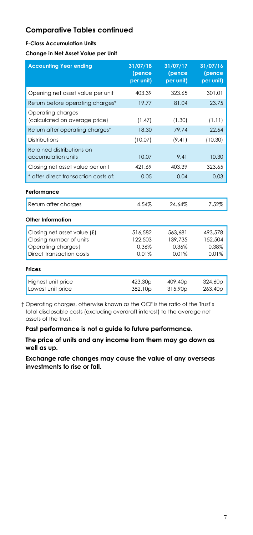#### **F-Class Accumulation Units**

**Change in Net Asset Value per Unit** 

| <b>Accounting Year ending</b>                                                | 31/07/18<br>(pence<br>per unit) | 31/07/17<br>(pence<br>per unit) | 31/07/16<br>(pence<br>per unit) |
|------------------------------------------------------------------------------|---------------------------------|---------------------------------|---------------------------------|
| Opening net asset value per unit                                             | 403.39                          | 323.65                          | 301.01                          |
| Return before operating charges*                                             | 19.77                           | 81.04                           | 23.75                           |
| Operating charges<br>(calculated on average price)                           | (1.47)                          | (1.30)                          | (1.11)                          |
| Return after operating charges*                                              | 18.30                           | 79.74                           | 22.64                           |
| Distributions                                                                | (10.07)                         | (9.41)                          | (10.30)                         |
| Retained distributions on<br>accumulation units                              | 10.07                           | 9.41                            | 10.30                           |
| Closing net asset value per unit                                             | 421.69                          | 403.39                          | 323.65                          |
| * after direct transaction costs of:                                         | 0.05                            | 0.04                            | 0.03                            |
| Performance                                                                  |                                 |                                 |                                 |
| Return after charges                                                         | 4.54%                           | 24.64%                          | 7.52%                           |
| Other Information                                                            |                                 |                                 |                                 |
| Closing net asset value (£)<br>Closing number of units<br>Operating chargest | 516,582<br>122,503<br>0.36%     | 563,681<br>139.735<br>0.36%     | 493.578<br>152,504<br>0.38%     |
| Direct transaction costs                                                     | 0.01%                           | 0.01%                           | 0.01%                           |
| <b>Prices</b>                                                                |                                 |                                 |                                 |
| Highest unit price<br>Lowest unit price                                      | 423.30p<br>382.10p              | 409.40p<br>315.90p              | 324.60p<br>263.40p              |

 † Operating charges, otherwise known as the OCF is the ratio of the Trust's total disclosable costs (excluding overdraft interest) to the average net assets of the Trust.

**Past performance is not a guide to future performance.** 

**The price of units and any income from them may go down as well as up.**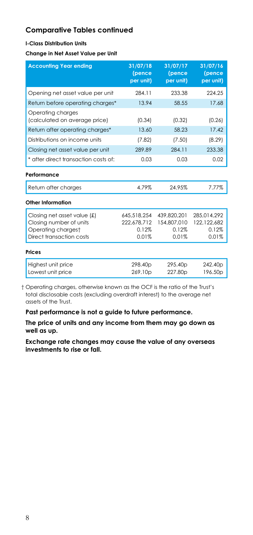#### **I-Class Distribution Units**

**Change in Net Asset Value per Unit** 

| <b>Accounting Year ending</b>                      | 31/07/18<br>(pence<br>per unit) | 31/07/17<br>(pence<br>per unit) | 31/07/16<br>(pence<br>per unit) |
|----------------------------------------------------|---------------------------------|---------------------------------|---------------------------------|
| Opening net asset value per unit                   | 284.11                          | 233.38                          | 224.25                          |
| Return before operating charges*                   | 13.94                           | 58.55                           | 17.68                           |
| Operating charges<br>(calculated on average price) | (0.34)                          | (0.32)                          | (0.26)                          |
| Return after operating charges*                    | 13.60                           | 58.23                           | 17.42                           |
| Distributions on income units                      | (7.82)                          | (7.50)                          | (8.29)                          |
| Closing net asset value per unit                   | 289.89                          | 284.11                          | 233.38                          |
| * after direct transaction costs of:               | 0.03                            | 0.03                            | 0.02                            |
| Performance                                        |                                 |                                 |                                 |
| Return after charges                               | 4.79%                           | 24.95%                          | 7.77%                           |
| Other Information                                  |                                 |                                 |                                 |
| Closing net asset value (£)                        | 645.518.254                     | 439.820.201                     | 285.014.292                     |
| Closing number of units                            | 222.678.712                     | 154,807,010                     | 122.122.682                     |
| Operating chargest                                 | 0.12%                           | 0.12%                           | 0.12%                           |
| Direct transaction costs                           | 0.01%                           | 0.01%                           | 0.01%                           |
| <b>Prices</b>                                      |                                 |                                 |                                 |
| Highest unit price                                 | 298.40p                         | 295.40 <sub>p</sub>             | 242.40p                         |
| Lowest unit price                                  | 269.10 <sub>p</sub>             | 227.80 <sub>p</sub>             | 196.50 <sub>p</sub>             |

 † Operating charges, otherwise known as the OCF is the ratio of the Trust's total disclosable costs (excluding overdraft interest) to the average net assets of the Trust.

**Past performance is not a guide to future performance.** 

**The price of units and any income from them may go down as well as up.**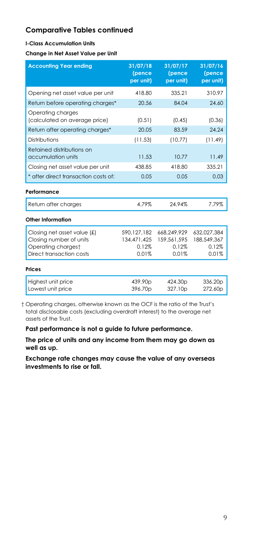#### **I-Class Accumulation Units**

**Change in Net Asset Value per Unit** 

| <b>Accounting Year ending</b>                                                                               | 31/07/18<br>(pence<br>per unit)                | 31/07/17<br>(pence<br>per unit)              | 31/07/16<br>(pence<br>per unit)              |
|-------------------------------------------------------------------------------------------------------------|------------------------------------------------|----------------------------------------------|----------------------------------------------|
| Opening net asset value per unit                                                                            | 418.80                                         | 335.21                                       | 310.97                                       |
| Return before operating charges*                                                                            | 20.56                                          | 84.04                                        | 24.60                                        |
| Operating charges<br>(calculated on average price)                                                          | (0.51)                                         | (0.45)                                       | (0.36)                                       |
| Return after operating charges*                                                                             | 20.05                                          | 83.59                                        | 24.24                                        |
| Distributions                                                                                               | (11.53)                                        | (10.77)                                      | (11.49)                                      |
| Retained distributions on<br>accumulation units                                                             | 11.53                                          | 10.77                                        | 11.49                                        |
| Closing net asset value per unit                                                                            | 438.85                                         | 418.80                                       | 335.21                                       |
| * after direct transaction costs of:                                                                        | 0.05                                           | 0.05                                         | 0.03                                         |
| Performance                                                                                                 |                                                |                                              |                                              |
| Return after charges                                                                                        | 4.79%                                          | 24.94%                                       | 7.79%                                        |
| <b>Other Information</b>                                                                                    |                                                |                                              |                                              |
| Closing net asset value $f(x)$<br>Closing number of units<br>Operating chargest<br>Direct transaction costs | 590, 127, 182<br>134,471,425<br>0.12%<br>0.01% | 668.249.929<br>159.561.595<br>0.12%<br>0.01% | 632,027,384<br>188.549.367<br>0.12%<br>0.01% |
| <b>Prices</b>                                                                                               |                                                |                                              |                                              |
| Highest unit price<br>Lowest unit price                                                                     | 439.90 <sub>p</sub><br>396.70p                 | 424.30p<br>327.10p                           | 336.20p<br>272.60p                           |

 † Operating charges, otherwise known as the OCF is the ratio of the Trust's total disclosable costs (excluding overdraft interest) to the average net assets of the Trust.

**Past performance is not a guide to future performance.** 

**The price of units and any income from them may go down as well as up.**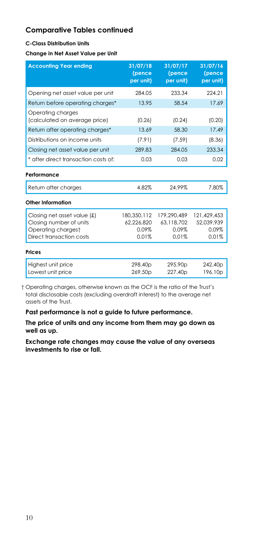#### **C-Class Distribution Units**

#### **Change in Net Asset Value per Unit**

| <b>Accounting Year ending</b>                                                                            | 31/07/18<br>(pence<br>per unit)             | 31/07/17<br>(pence<br>per unit)                | 31/07/16<br>(pence<br>per unit)                |
|----------------------------------------------------------------------------------------------------------|---------------------------------------------|------------------------------------------------|------------------------------------------------|
| Opening net asset value per unit                                                                         | 284.05                                      | 233.34                                         | 224.21                                         |
| Return before operating charges*                                                                         | 13.95                                       | 58.54                                          | 17.69                                          |
| Operating charges<br>(calculated on average price)                                                       | (0.26)                                      | (0.24)                                         | (0.20)                                         |
| Return after operating charges*                                                                          | 13.69                                       | 58.30                                          | 17.49                                          |
| Distributions on income units                                                                            | (7.91)                                      | (7.59)                                         | (8.36)                                         |
| Closing net asset value per unit                                                                         | 289.83                                      | 284.05                                         | 233.34                                         |
| * after direct transaction costs of:                                                                     | 0.03                                        | 0.03                                           | 0.02                                           |
| Performance                                                                                              |                                             |                                                |                                                |
| Return after charges                                                                                     | 4.82%                                       | 24.99%                                         | 7.80%                                          |
| Other Information                                                                                        |                                             |                                                |                                                |
| Closing net asset value (£)<br>Closing number of units<br>Operating chargest<br>Direct transaction costs | 180,350,112<br>62.226.820<br>0.09%<br>0.01% | 179,290,489<br>63.118.702<br>$0.09\%$<br>0.01% | 121,429,453<br>52.039.939<br>$0.09\%$<br>0.01% |
| <b>Prices</b>                                                                                            |                                             |                                                |                                                |
| Highest unit price<br>Lowest unit price                                                                  | 298.40p<br>269.50 <sub>p</sub>              | 295.90p<br>227.40 <sub>p</sub>                 | 242.40p<br>196.10p                             |

 † Operating charges, otherwise known as the OCF is the ratio of the Trust's total disclosable costs (excluding overdraft interest) to the average net assets of the Trust.

**Past performance is not a guide to future performance.** 

**The price of units and any income from them may go down as well as up.**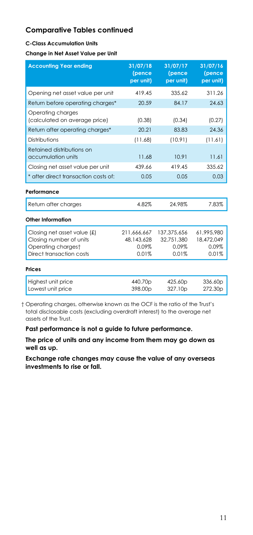#### **C-Class Accumulation Units**

**Change in Net Asset Value per Unit** 

| <b>Accounting Year ending</b>                                                                              | 31/07/18<br>(pence<br>per unit)             | 31/07/17<br>(pence<br>per unit)             | 31/07/16<br>(pence<br>per unit)            |
|------------------------------------------------------------------------------------------------------------|---------------------------------------------|---------------------------------------------|--------------------------------------------|
| Opening net asset value per unit                                                                           | 419.45                                      | 335.62                                      | 311.26                                     |
| Return before operating charges*                                                                           | 20.59                                       | 84.17                                       | 24.63                                      |
| Operating charges<br>(calculated on average price)                                                         | (0.38)                                      | (0.34)                                      | (0.27)                                     |
| Return after operating charges*                                                                            | 20.21                                       | 83.83                                       | 24.36                                      |
| Distributions                                                                                              | (11.68)                                     | (10.91)                                     | (11.61)                                    |
| Retained distributions on<br>accumulation units                                                            | 11.68                                       | 10.91                                       | 11.61                                      |
| Closing net asset value per unit                                                                           | 439.66                                      | 419.45                                      | 335.62                                     |
| * after direct transaction costs of:                                                                       | 0.05                                        | 0.05                                        | 0.03                                       |
| Performance                                                                                                |                                             |                                             |                                            |
| Return after charges                                                                                       | 4.82%                                       | 24.98%                                      | 7.83%                                      |
| Other Information                                                                                          |                                             |                                             |                                            |
| Closing net asset value $(f)$<br>Closing number of units<br>Operating chargest<br>Direct transaction costs | 211.666.667<br>48.143.628<br>0.09%<br>0.01% | 137.375.656<br>32.751.380<br>0.09%<br>0.01% | 61.995.980<br>18,472,049<br>0.09%<br>0.01% |
| <b>Prices</b>                                                                                              |                                             |                                             |                                            |
| Highest unit price<br>Lowest unit price                                                                    | 440.70p<br>398.00p                          | 425.60p<br>327.10p                          | 336.60p<br>272.30p                         |

 † Operating charges, otherwise known as the OCF is the ratio of the Trust's total disclosable costs (excluding overdraft interest) to the average net assets of the Trust.

**Past performance is not a guide to future performance.** 

**The price of units and any income from them may go down as well as up.**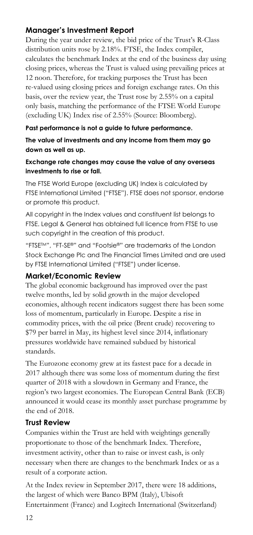# **Manager's Investment Report**

During the year under review, the bid price of the Trust's R-Class distribution units rose by 2.18%. FTSE, the Index compiler, calculates the benchmark Index at the end of the business day using closing prices, whereas the Trust is valued using prevailing prices at 12 noon. Therefore, for tracking purposes the Trust has been re-valued using closing prices and foreign exchange rates. On this basis, over the review year, the Trust rose by 2.55% on a capital only basis, matching the performance of the FTSE World Europe (excluding UK) Index rise of 2.55% (Source: Bloomberg).

### **Past performance is not a guide to future performance.**

### **The value of investments and any income from them may go down as well as up.**

### **Exchange rate changes may cause the value of any overseas investments to rise or fall.**

The FTSE World Europe (excluding UK) Index is calculated by FTSE International Limited ("FTSE"). FTSE does not sponsor, endorse or promote this product.

All copyright in the Index values and constituent list belongs to FTSE. Legal & General has obtained full licence from FTSE to use such copyright in the creation of this product.

"FTSETM", "FT-SE®" and "Footsie®" are trademarks of the London Stock Exchange Plc and The Financial Times Limited and are used by FTSE International Limited ("FTSE") under license.

### **Market/Economic Review**

The global economic background has improved over the past twelve months, led by solid growth in the major developed economies, although recent indicators suggest there has been some loss of momentum, particularly in Europe. Despite a rise in commodity prices, with the oil price (Brent crude) recovering to \$79 per barrel in May, its highest level since 2014, inflationary pressures worldwide have remained subdued by historical standards.

The Eurozone economy grew at its fastest pace for a decade in 2017 although there was some loss of momentum during the first quarter of 2018 with a slowdown in Germany and France, the region's two largest economies. The European Central Bank (ECB) announced it would cease its monthly asset purchase programme by the end of 2018.

# **Trust Review**

Companies within the Trust are held with weightings generally proportionate to those of the benchmark Index. Therefore, investment activity, other than to raise or invest cash, is only necessary when there are changes to the benchmark Index or as a result of a corporate action.

At the Index review in September 2017, there were 18 additions, the largest of which were Banco BPM (Italy), Ubisoft Entertainment (France) and Logitech International (Switzerland)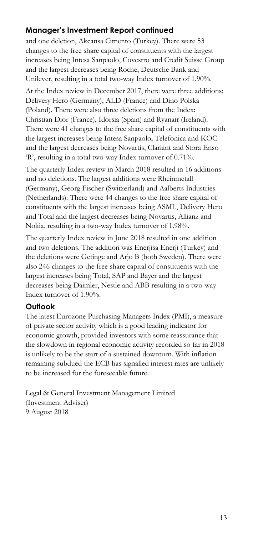# **Manager's Investment Report continued**

and one deletion, Akcansa Cimento (Turkey). There were 53 changes to the free share capital of constituents with the largest increases being Intesa Sanpaolo, Covestro and Credit Suisse Group and the largest decreases being Roche, Deutsche Bank and Unilever, resulting in a total two-way Index turnover of 1.90%.

At the Index review in December 2017, there were three additions: Delivery Hero (Germany), ALD (France) and Dino Polska (Poland). There were also three deletions from the Index: Christian Dior (France), Idorsia (Spain) and Ryanair (Ireland). There were 41 changes to the free share capital of constituents with the largest increases being Intesa Sanpaolo, Telefonica and KOC and the largest decreases being Novartis, Clariant and Stora Enso 'R', resulting in a total two-way Index turnover of 0.71%.

The quarterly Index review in March 2018 resulted in 16 additions and no deletions. The largest additions were Rheinmetall (Germany), Georg Fischer (Switzerland) and Aalberts Industries (Netherlands). There were 44 changes to the free share capital of constituents with the largest increases being ASML, Delivery Hero and Total and the largest decreases being Novartis, Allianz and Nokia, resulting in a two-way Index turnover of 1.98%.

The quarterly Index review in June 2018 resulted in one addition and two deletions. The addition was Enerjisa Enerji (Turkey) and the deletions were Getinge and Arjo B (both Sweden). There were also 246 changes to the free share capital of constituents with the largest increases being Total, SAP and Bayer and the largest decreases being Daimler, Nestle and ABB resulting in a two-way Index turnover of 1.90%.

# **Outlook**

The latest Eurozone Purchasing Managers Index (PMI), a measure of private sector activity which is a good leading indicator for economic growth, provided investors with some reassurance that the slowdown in regional economic activity recorded so far in 2018 is unlikely to be the start of a sustained downturn. With inflation remaining subdued the ECB has signalled interest rates are unlikely to be increased for the foreseeable future.

Legal & General Investment Management Limited (Investment Adviser) 9 August 2018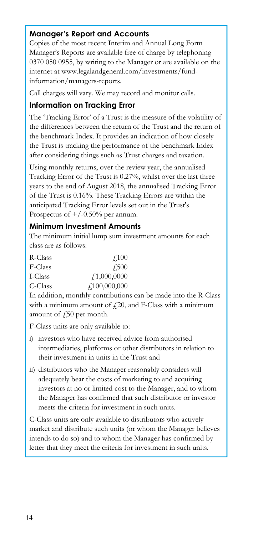# **Manager's Report and Accounts**

Copies of the most recent Interim and Annual Long Form Manager's Reports are available free of charge by telephoning 0370 050 0955, by writing to the Manager or are available on the internet at www.legalandgeneral.com/investments/fundinformation/managers-reports.

Call charges will vary. We may record and monitor calls.

### **Information on Tracking Error**

The 'Tracking Error' of a Trust is the measure of the volatility of the differences between the return of the Trust and the return of the benchmark Index. It provides an indication of how closely the Trust is tracking the performance of the benchmark Index after considering things such as Trust charges and taxation.

Using monthly returns, over the review year, the annualised Tracking Error of the Trust is 0.27%, whilst over the last three years to the end of August 2018, the annualised Tracking Error of the Trust is 0.16%. These Tracking Errors are within the anticipated Tracking Error levels set out in the Trust's Prospectus of  $+/-0.50%$  per annum.

### **Minimum Investment Amounts**

The minimum initial lump sum investment amounts for each class are as follows:

| R-Class | 4.100                           |
|---------|---------------------------------|
| F-Class | 4.500                           |
| I-Class | $\textcolor{red}{f_1,000,0000}$ |
| C-Class | f100,000,000                    |

In addition, monthly contributions can be made into the R-Class with a minimum amount of  $f(20)$ , and F-Class with a minimum amount of  $\sqrt{250}$  per month.

F-Class units are only available to:

- i) investors who have received advice from authorised intermediaries, platforms or other distributors in relation to their investment in units in the Trust and
- ii) distributors who the Manager reasonably considers will adequately bear the costs of marketing to and acquiring investors at no or limited cost to the Manager, and to whom the Manager has confirmed that such distributor or investor meets the criteria for investment in such units.

C-Class units are only available to distributors who actively market and distribute such units (or whom the Manager believes intends to do so) and to whom the Manager has confirmed by letter that they meet the criteria for investment in such units.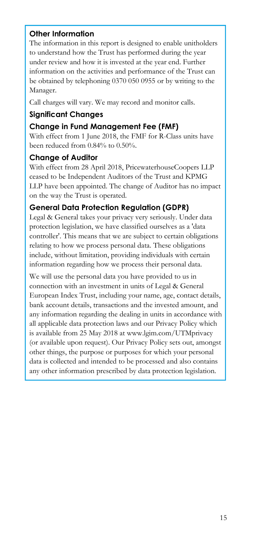# **Other Information**

The information in this report is designed to enable unitholders to understand how the Trust has performed during the year under review and how it is invested at the year end. Further information on the activities and performance of the Trust can be obtained by telephoning 0370 050 0955 or by writing to the Manager.

Call charges will vary. We may record and monitor calls.

# **Significant Changes**

### **Change in Fund Management Fee (FMF)**

With effect from 1 June 2018, the FMF for R-Class units have been reduced from 0.84% to 0.50%.

### **Change of Auditor**

With effect from 28 April 2018, PricewaterhouseCoopers LLP ceased to be Independent Auditors of the Trust and KPMG LLP have been appointed. The change of Auditor has no impact on the way the Trust is operated.

## **General Data Protection Regulation (GDPR)**

Legal & General takes your privacy very seriously. Under data protection legislation, we have classified ourselves as a 'data controller'. This means that we are subject to certain obligations relating to how we process personal data. These obligations include, without limitation, providing individuals with certain information regarding how we process their personal data.

We will use the personal data you have provided to us in connection with an investment in units of Legal & General European Index Trust, including your name, age, contact details, bank account details, transactions and the invested amount, and any information regarding the dealing in units in accordance with all applicable data protection laws and our Privacy Policy which is available from 25 May 2018 at www.lgim.com/UTMprivacy (or available upon request). Our Privacy Policy sets out, amongst other things, the purpose or purposes for which your personal data is collected and intended to be processed and also contains any other information prescribed by data protection legislation.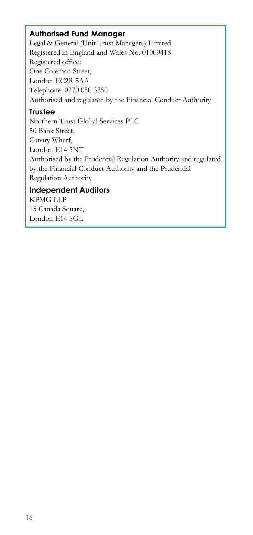## **Authorised Fund Manager**

Legal & General (Unit Trust Managers) Limited Registered in England and Wales No. 01009418 Registered office: One Coleman Street, London EC2R 5AA Telephone: 0370 050 3350 Authorised and regulated by the Financial Conduct Authority

### **Trustee**

Northern Trust Global Services PLC 50 Bank Street, Canary Wharf, London E14 5NT Authorised by the Prudential Regulation Authority and regulated by the Financial Conduct Authority and the Prudential Regulation Authority

## **Independent Auditors**

KPMG LLP 15 Canada Square, London E14 5GL